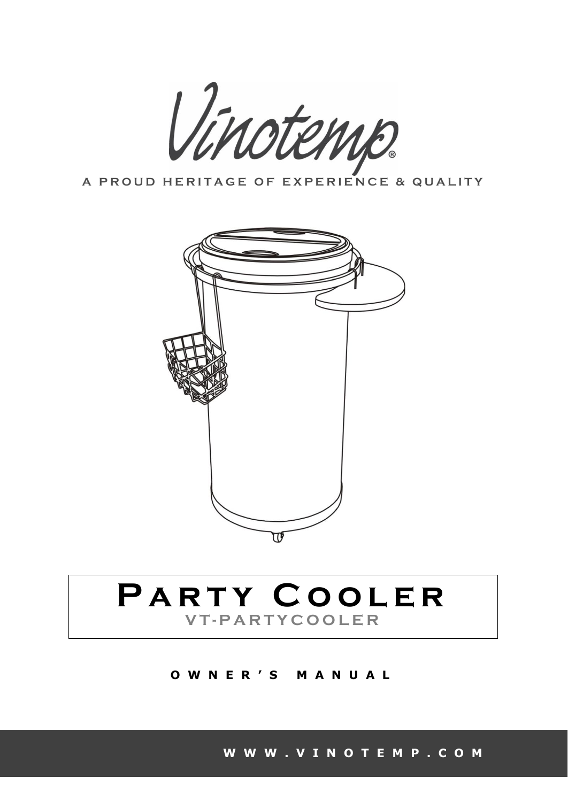

A PROUD HERITAGE OF EXPERIENCE & QUALITY



# PARTY COOLER **V T - P A R T Y C O O L E R**

**O W N E R ' S M A N U A L**

**[W W W . V I N O T E M P . C O M](http://www.vinotemp.com/)**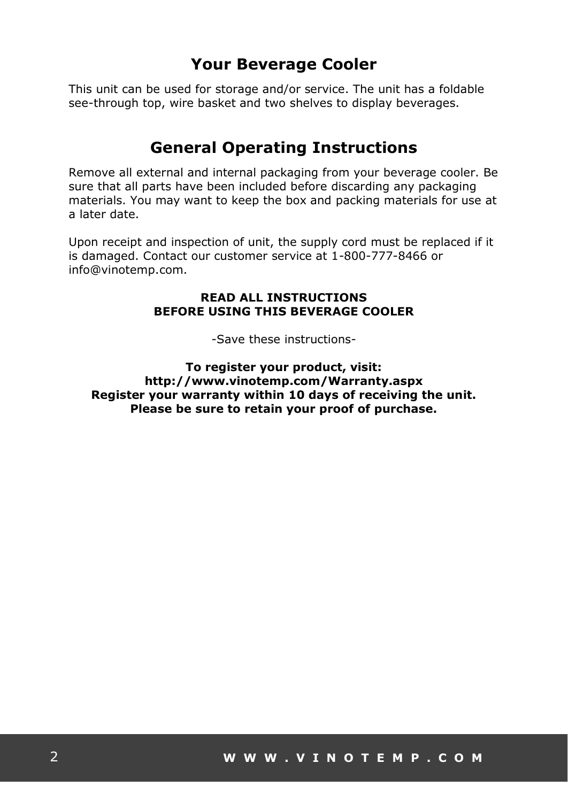#### **Your Beverage Cooler**

This unit can be used for storage and/or service. The unit has a foldable see-through top, wire basket and two shelves to display beverages.

#### **General Operating Instructions**

Remove all external and internal packaging from your beverage cooler. Be sure that all parts have been included before discarding any packaging materials. You may want to keep the box and packing materials for use at a later date.

Upon receipt and inspection of unit, the supply cord must be replaced if it is damaged. Contact our customer service at 1-800-777-8466 or info@vinotemp.com.

#### **READ ALL INSTRUCTIONS BEFORE USING THIS BEVERAGE COOLER**

-Save these instructions-

**To register your product, visit: http://www.vinotemp.com/Warranty.aspx Register your warranty within 10 days of receiving the unit. Please be sure to retain your proof of purchase.**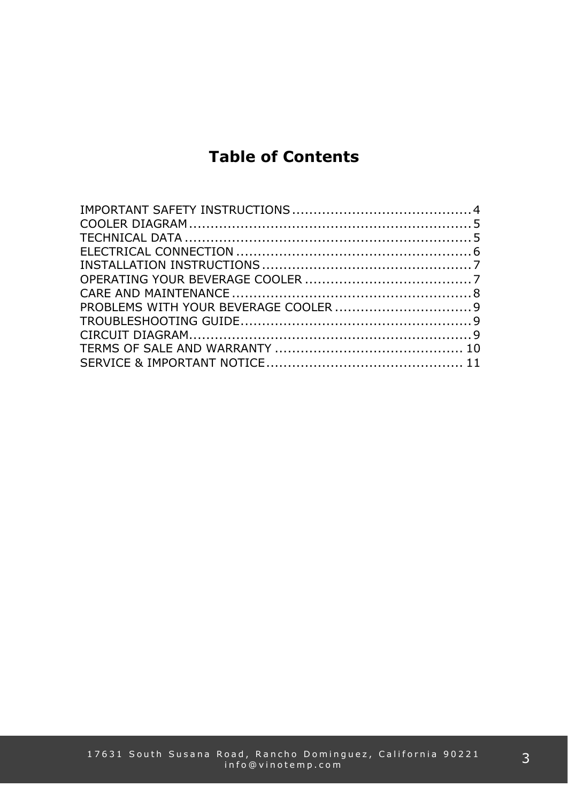## **Table of Contents**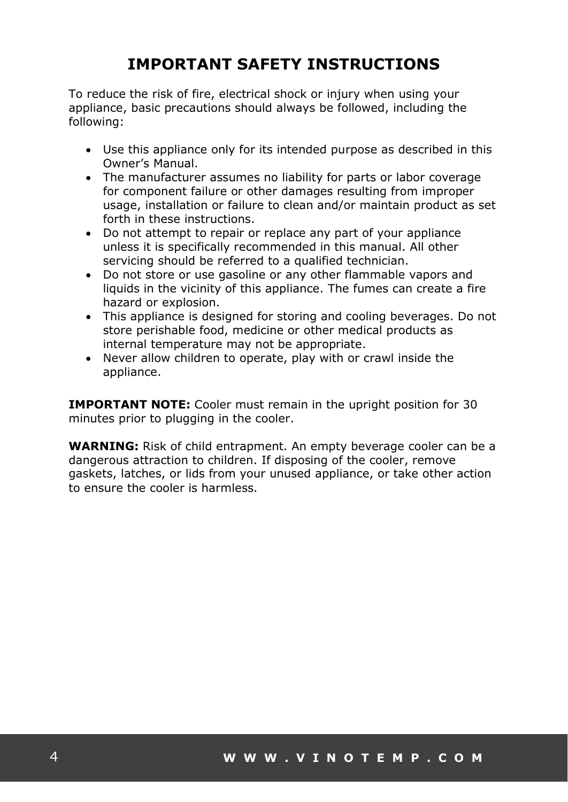## **IMPORTANT SAFETY INSTRUCTIONS**

To reduce the risk of fire, electrical shock or injury when using your appliance, basic precautions should always be followed, including the following:

- Use this appliance only for its intended purpose as described in this Owner's Manual.
- The manufacturer assumes no liability for parts or labor coverage for component failure or other damages resulting from improper usage, installation or failure to clean and/or maintain product as set forth in these instructions.
- Do not attempt to repair or replace any part of your appliance unless it is specifically recommended in this manual. All other servicing should be referred to a qualified technician.
- Do not store or use gasoline or any other flammable vapors and liquids in the vicinity of this appliance. The fumes can create a fire hazard or explosion.
- This appliance is designed for storing and cooling beverages. Do not store perishable food, medicine or other medical products as internal temperature may not be appropriate.
- Never allow children to operate, play with or crawl inside the appliance.

**IMPORTANT NOTE:** Cooler must remain in the upright position for 30 minutes prior to plugging in the cooler.

**WARNING:** Risk of child entrapment. An empty beverage cooler can be a dangerous attraction to children. If disposing of the cooler, remove gaskets, latches, or lids from your unused appliance, or take other action to ensure the cooler is harmless.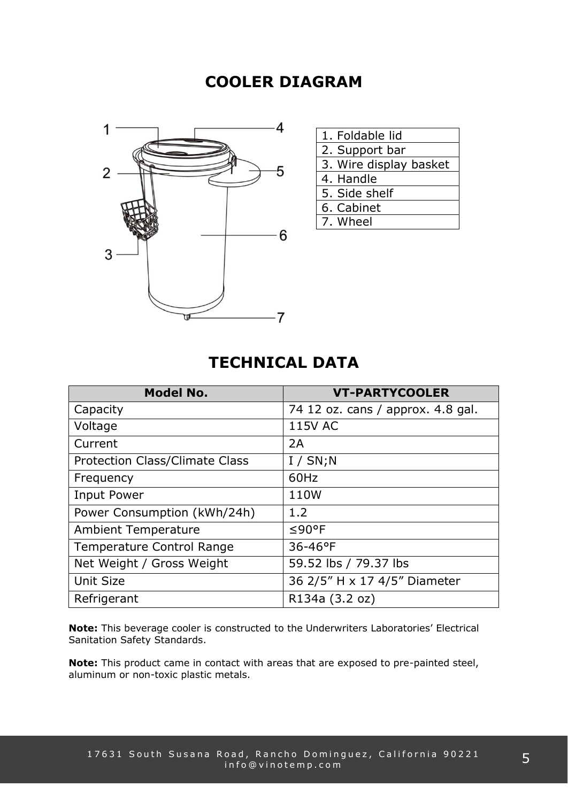#### **COOLER DIAGRAM**



| 1. Foldable lid        |
|------------------------|
| 2. Support bar         |
| 3. Wire display basket |
| 4. Handle              |
| 5. Side shelf          |
| 6. Cabinet             |
| 7. Wheel               |
|                        |

#### **TECHNICAL DATA**

| <b>Model No.</b>                 | <b>VT-PARTYCOOLER</b>             |
|----------------------------------|-----------------------------------|
| Capacity                         | 74 12 oz. cans / approx. 4.8 gal. |
| Voltage                          | <b>115V AC</b>                    |
| Current                          | 2A                                |
| Protection Class/Climate Class   | I / SN; N                         |
| Frequency                        | 60Hz                              |
| <b>Input Power</b>               | 110W                              |
| Power Consumption (kWh/24h)      | 1.2                               |
| <b>Ambient Temperature</b>       | $≤90$ °F                          |
| <b>Temperature Control Range</b> | 36-46°F                           |
| Net Weight / Gross Weight        | 59.52 lbs / 79.37 lbs             |
| <b>Unit Size</b>                 | 36 2/5" H x 17 4/5" Diameter      |
| Refrigerant                      | R134a (3.2 oz)                    |

**Note:** This beverage cooler is constructed to the Underwriters Laboratories' Electrical Sanitation Safety Standards.

**Note:** This product came in contact with areas that are exposed to pre-painted steel, aluminum or non-toxic plastic metals.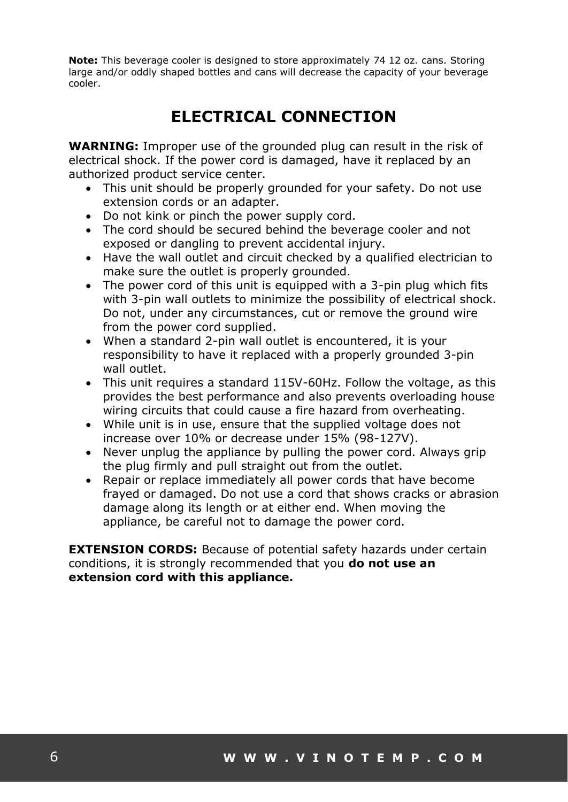**Note:** This beverage cooler is designed to store approximately 74 12 oz. cans. Storing large and/or oddly shaped bottles and cans will decrease the capacity of your beverage cooler.

## **ELECTRICAL CONNECTION**

**WARNING:** Improper use of the grounded plug can result in the risk of electrical shock. If the power cord is damaged, have it replaced by an authorized product service center.

- This unit should be properly grounded for your safety. Do not use extension cords or an adapter.
- Do not kink or pinch the power supply cord.
- The cord should be secured behind the beverage cooler and not exposed or dangling to prevent accidental injury.
- Have the wall outlet and circuit checked by a qualified electrician to make sure the outlet is properly grounded.
- The power cord of this unit is equipped with a 3-pin plug which fits with 3-pin wall outlets to minimize the possibility of electrical shock. Do not, under any circumstances, cut or remove the ground wire from the power cord supplied.
- When a standard 2-pin wall outlet is encountered, it is your responsibility to have it replaced with a properly grounded 3-pin wall outlet.
- This unit requires a standard 115V-60Hz. Follow the voltage, as this provides the best performance and also prevents overloading house wiring circuits that could cause a fire hazard from overheating.
- While unit is in use, ensure that the supplied voltage does not increase over 10% or decrease under 15% (98-127V).
- Never unplug the appliance by pulling the power cord. Always grip the plug firmly and pull straight out from the outlet.
- Repair or replace immediately all power cords that have become frayed or damaged. Do not use a cord that shows cracks or abrasion damage along its length or at either end. When moving the appliance, be careful not to damage the power cord.

**EXTENSION CORDS:** Because of potential safety hazards under certain conditions, it is strongly recommended that you **do not use an extension cord with this appliance.**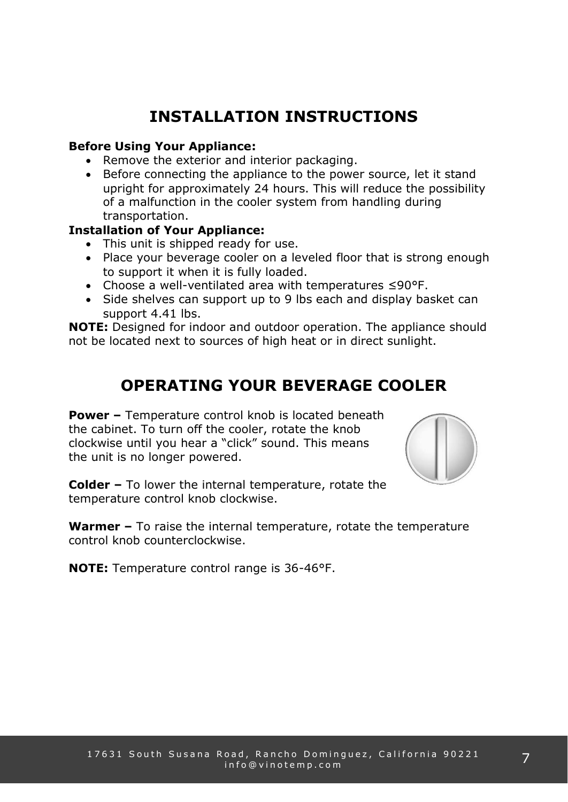## **INSTALLATION INSTRUCTIONS**

#### **Before Using Your Appliance:**

- Remove the exterior and interior packaging.
- Before connecting the appliance to the power source, let it stand upright for approximately 24 hours. This will reduce the possibility of a malfunction in the cooler system from handling during transportation.

#### **Installation of Your Appliance:**

- This unit is shipped ready for use.
- Place your beverage cooler on a leveled floor that is strong enough to support it when it is fully loaded.
- Choose a well-ventilated area with temperatures ≤90°F.
- Side shelves can support up to 9 lbs each and display basket can support 4.41 lbs.

**NOTE:** Designed for indoor and outdoor operation. The appliance should not be located next to sources of high heat or in direct sunlight.

## **OPERATING YOUR BEVERAGE COOLER**

**Power –** Temperature control knob is located beneath the cabinet. To turn off the cooler, rotate the knob clockwise until you hear a "click" sound. This means the unit is no longer powered.



**Colder –** To lower the internal temperature, rotate the temperature control knob clockwise.

**Warmer –** To raise the internal temperature, rotate the temperature control knob counterclockwise.

**NOTE:** Temperature control range is 36-46°F.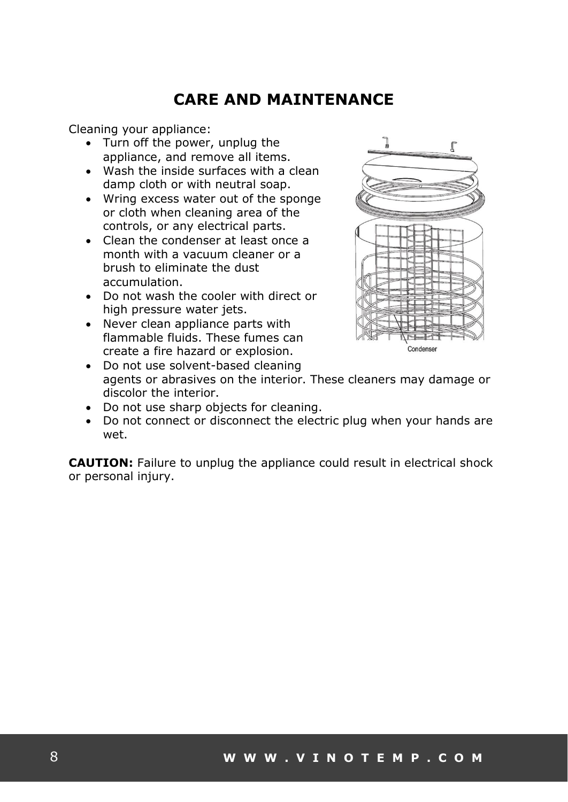### **CARE AND MAINTENANCE**

Cleaning your appliance:

- Turn off the power, unplug the appliance, and remove all items.
- Wash the inside surfaces with a clean damp cloth or with neutral soap.
- Wring excess water out of the sponge or cloth when cleaning area of the controls, or any electrical parts.
- Clean the condenser at least once a month with a vacuum cleaner or a brush to eliminate the dust accumulation.
- Do not wash the cooler with direct or high pressure water jets.
- Never clean appliance parts with flammable fluids. These fumes can create a fire hazard or explosion.



- Do not use solvent-based cleaning agents or abrasives on the interior. These cleaners may damage or discolor the interior.
- Do not use sharp objects for cleaning.
- Do not connect or disconnect the electric plug when your hands are wet.

**CAUTION:** Failure to unplug the appliance could result in electrical shock or personal injury.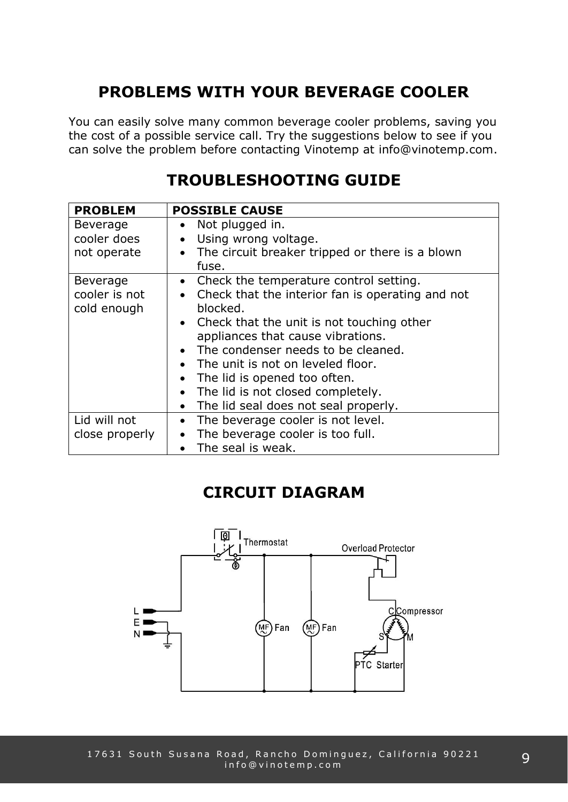## **PROBLEMS WITH YOUR BEVERAGE COOLER**

You can easily solve many common beverage cooler problems, saving you the cost of a possible service call. Try the suggestions below to see if you can solve the problem before contacting Vinotemp at info@vinotemp.com.

### **TROUBLESHOOTING GUIDE**

| <b>PROBLEM</b>  | <b>POSSIBLE CAUSE</b>                                         |
|-----------------|---------------------------------------------------------------|
| <b>Beverage</b> | Not plugged in.                                               |
| cooler does     | Using wrong voltage.<br>$\bullet$                             |
| not operate     | The circuit breaker tripped or there is a blown<br>$\bullet$  |
|                 | fuse.                                                         |
| <b>Beverage</b> | Check the temperature control setting.<br>$\bullet$           |
| cooler is not   | Check that the interior fan is operating and not<br>$\bullet$ |
| cold enough     | blocked.                                                      |
|                 | • Check that the unit is not touching other                   |
|                 | appliances that cause vibrations.                             |
|                 | The condenser needs to be cleaned.<br>$\bullet$               |
|                 | The unit is not on leveled floor.                             |
|                 | The lid is opened too often.                                  |
|                 | The lid is not closed completely.<br>$\bullet$                |
|                 | The lid seal does not seal properly.                          |
| Lid will not    | The beverage cooler is not level.<br>$\bullet$                |
| close properly  | The beverage cooler is too full.                              |
|                 | The seal is weak.                                             |

#### **CIRCUIT DIAGRAM**

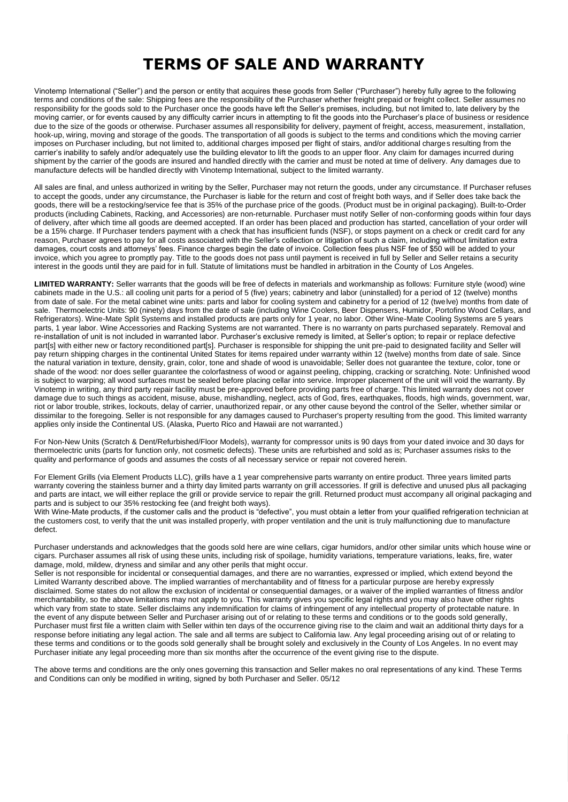### **TERMS OF SALE AND WARRANTY**

Vinotemp International ("Seller") and the person or entity that acquires these goods from Seller ("Purchaser") hereby fully agree to the following terms and conditions of the sale: Shipping fees are the responsibility of the Purchaser whether freight prepaid or freight collect. Seller assumes no responsibility for the goods sold to the Purchaser once the goods have left the Seller's premises, including, but not limited to, late delivery by the moving carrier, or for events caused by any difficulty carrier incurs in attempting to fit the goods into the Purchaser's place of business or residence due to the size of the goods or otherwise. Purchaser assumes all responsibility for delivery, payment of freight, access, measurement, installation, hook-up, wiring, moving and storage of the goods. The transportation of all goods is subject to the terms and conditions which the moving carrier imposes on Purchaser including, but not limited to, additional charges imposed per flight of stairs, and/or additional charges resulting from the carrier's inability to safely and/or adequately use the building elevator to lift the goods to an upper floor. Any claim for damages incurred during shipment by the carrier of the goods are insured and handled directly with the carrier and must be noted at time of delivery. Any damages due to manufacture defects will be handled directly with Vinotemp International, subject to the limited warranty.

All sales are final, and unless authorized in writing by the Seller, Purchaser may not return the goods, under any circumstance. If Purchaser refuses to accept the goods, under any circumstance, the Purchaser is liable for the return and cost of freight both ways, and if Seller does take back the goods, there will be a restocking/service fee that is 35% of the purchase price of the goods. (Product must be in original packaging). Built-to-Order products (including Cabinets, Racking, and Accessories) are non-returnable. Purchaser must notify Seller of non-conforming goods within four days of delivery, after which time all goods are deemed accepted. If an order has been placed and production has started, cancellation of your order will be a 15% charge. If Purchaser tenders payment with a check that has insufficient funds (NSF), or stops payment on a check or credit card for any reason, Purchaser agrees to pay for all costs associated with the Seller's collection or litigation of such a claim, including without limitation extra damages, court costs and attorneys' fees. Finance charges begin the date of invoice. Collection fees plus NSF fee of \$50 will be added to your invoice, which you agree to promptly pay. Title to the goods does not pass until payment is received in full by Seller and Seller retains a security interest in the goods until they are paid for in full. Statute of limitations must be handled in arbitration in the County of Los Angeles.

**LIMITED WARRANTY:** Seller warrants that the goods will be free of defects in materials and workmanship as follows: Furniture style (wood) wine cabinets made in the U.S.: all cooling unit parts for a period of 5 (five) years; cabinetry and labor (uninstalled) for a period of 12 (twelve) months from date of sale. For the metal cabinet wine units: parts and labor for cooling system and cabinetry for a period of 12 (twelve) months from date of sale. Thermoelectric Units: 90 (ninety) days from the date of sale (including Wine Coolers, Beer Dispensers, Humidor, Portofino Wood Cellars, and Refrigerators). Wine-Mate Split Systems and installed products are parts only for 1 year, no labor. Other Wine-Mate Cooling Systems are 5 years parts, 1 year labor. Wine Accessories and Racking Systems are not warranted. There is no warranty on parts purchased separately. Removal and re-installation of unit is not included in warranted labor. Purchaser's exclusive remedy is limited, at Seller's option; to repair or replace defective part[s] with either new or factory reconditioned part[s]. Purchaser is responsible for shipping the unit pre-paid to designated facility and Seller will pay return shipping charges in the continental United States for items repaired under warranty within 12 (twelve) months from date of sale. Since the natural variation in texture, density, grain, color, tone and shade of wood is unavoidable; Seller does not guarantee the texture, color, tone or shade of the wood: nor does seller guarantee the colorfastness of wood or against peeling, chipping, cracking or scratching. Note: Unfinished wood is subject to warping; all wood surfaces must be sealed before placing cellar into service. Improper placement of the unit will void the warranty. By Vinotemp in writing, any third party repair facility must be pre-approved before providing parts free of charge. This limited warranty does not cover damage due to such things as accident, misuse, abuse, mishandling, neglect, acts of God, fires, earthquakes, floods, high winds, government, war, riot or labor trouble, strikes, lockouts, delay of carrier, unauthorized repair, or any other cause beyond the control of the Seller, whether similar or dissimilar to the foregoing. Seller is not responsible for any damages caused to Purchaser's property resulting from the good. This limited warranty applies only inside the Continental US. (Alaska, Puerto Rico and Hawaii are not warranted.)

For Non-New Units (Scratch & Dent/Refurbished/Floor Models), warranty for compressor units is 90 days from your dated invoice and 30 days for thermoelectric units (parts for function only, not cosmetic defects). These units are refurbished and sold as is; Purchaser assumes risks to the quality and performance of goods and assumes the costs of all necessary service or repair not covered herein.

For Element Grills (via Element Products LLC), grills have a 1 year comprehensive parts warranty on entire product. Three years limited parts warranty covering the stainless burner and a thirty day limited parts warranty on grill accessories. If grill is defective and unused plus all packaging and parts are intact, we will either replace the grill or provide service to repair the grill. Returned product must accompany all original packaging and parts and is subject to our 35% restocking fee (and freight both ways).

With Wine-Mate products, if the customer calls and the product is "defective", you must obtain a letter from your qualified refrigeration technician at the customers cost, to verify that the unit was installed properly, with proper ventilation and the unit is truly malfunctioning due to manufacture defect.

Purchaser understands and acknowledges that the goods sold here are wine cellars, cigar humidors, and/or other similar units which house wine or cigars. Purchaser assumes all risk of using these units, including risk of spoilage, humidity variations, temperature variations, leaks, fire, water damage, mold, mildew, dryness and similar and any other perils that might occur.

Seller is not responsible for incidental or consequential damages, and there are no warranties, expressed or implied, which extend beyond the Limited Warranty described above. The implied warranties of merchantability and of fitness for a particular purpose are hereby expressly disclaimed. Some states do not allow the exclusion of incidental or consequential damages, or a waiver of the implied warranties of fitness and/or merchantability, so the above limitations may not apply to you. This warranty gives you specific legal rights and you may also have other rights which vary from state to state. Seller disclaims any indemnification for claims of infringement of any intellectual property of protectable nature. In the event of any dispute between Seller and Purchaser arising out of or relating to these terms and conditions or to the goods sold generally, Purchaser must first file a written claim with Seller within ten days of the occurrence giving rise to the claim and wait an additional thirty days for a response before initiating any legal action. The sale and all terms are subject to California law. Any legal proceeding arising out of or relating to these terms and conditions or to the goods sold generally shall be brought solely and exclusively in the County of Los Angeles. In no event may Purchaser initiate any legal proceeding more than six months after the occurrence of the event giving rise to the dispute.

The above terms and conditions are the only ones governing this transaction and Seller makes no oral representations of any kind. These Terms and Conditions can only be modified in writing, signed by both Purchaser and Seller. 05/12